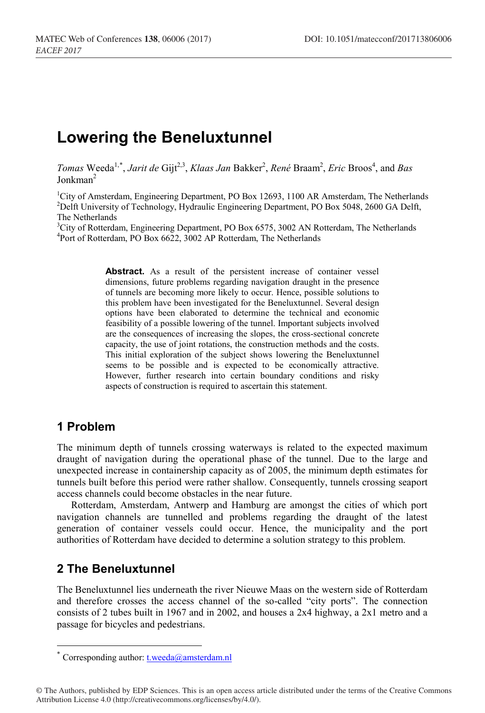# **Lowering the Beneluxtunnel**

*Tomas* Weeda<sup>1,\*</sup>, *Jarit de* Gijt<sup>2,3</sup>, *Klaas Jan* Bakker<sup>2</sup>, *René* Braam<sup>2</sup>, *Eric* Broos<sup>4</sup>, and *Bas* Jonkman2

<sup>1</sup>City of Amsterdam, Engineering Department, PO Box 12693, 1100 AR Amsterdam, The Netherlands<br><sup>2</sup>Delft University of Technology, Hydraulic Engineering Department, PO Box 5048, 2600 GA Delft <sup>2</sup>Delft University of Technology, Hydraulic Engineering Department, PO Box 5048, 2600 GA Delft, The Netherlands

 $^{3}$ City of Rotterdam, Engineering Department, PO Box 6575, 3002 AN Rotterdam, The Netherlands<br> $^{4}$ Port of Rotterdam, PO Box 6622, 3002 AP Rotterdam, The Netherlands Port of Rotterdam, PO Box 6622, 3002 AP Rotterdam, The Netherlands

> Abstract. As a result of the persistent increase of container vessel dimensions, future problems regarding navigation draught in the presence of tunnels are becoming more likely to occur. Hence, possible solutions to this problem have been investigated for the Beneluxtunnel. Several design options have been elaborated to determine the technical and economic feasibility of a possible lowering of the tunnel. Important subjects involved are the consequences of increasing the slopes, the cross-sectional concrete capacity, the use of joint rotations, the construction methods and the costs. This initial exploration of the subject shows lowering the Beneluxtunnel seems to be possible and is expected to be economically attractive. However, further research into certain boundary conditions and risky aspects of construction is required to ascertain this statement.

## **1 Problem**

The minimum depth of tunnels crossing waterways is related to the expected maximum draught of navigation during the operational phase of the tunnel. Due to the large and unexpected increase in containership capacity as of 2005, the minimum depth estimates for tunnels built before this period were rather shallow. Consequently, tunnels crossing seaport access channels could become obstacles in the near future.

Rotterdam, Amsterdam, Antwerp and Hamburg are amongst the cities of which port navigation channels are tunnelled and problems regarding the draught of the latest generation of container vessels could occur. Hence, the municipality and the port authorities of Rotterdam have decided to determine a solution strategy to this problem.

# **2 The Beneluxtunnel**

The Beneluxtunnel lies underneath the river Nieuwe Maas on the western side of Rotterdam and therefore crosses the access channel of the so-called "city ports". The connection consists of 2 tubes built in 1967 and in 2002, and houses a 2x4 highway, a 2x1 metro and a passage for bicycles and pedestrians.

© The Authors, published by EDP Sciences. This is an open access article distributed under the terms of the Creative Commons Attribution License 4.0 (http://creativecommons.org/licenses/by/4.0/).

<sup>\*</sup> Corresponding author: t.weeda@amsterdam.nl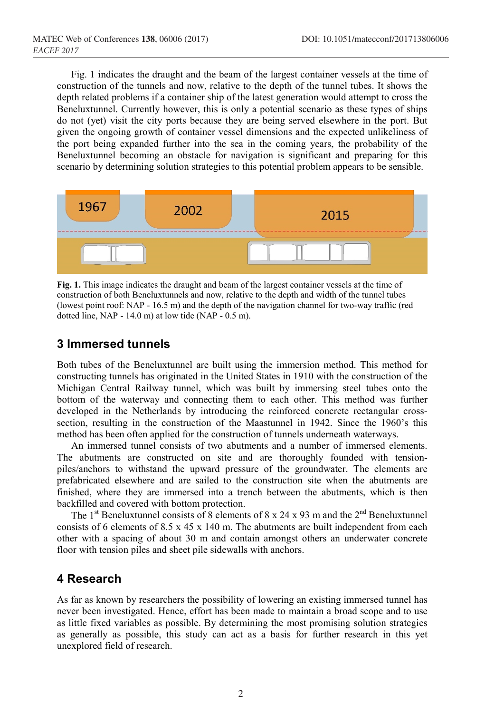Fig. 1 indicates the draught and the beam of the largest container vessels at the time of construction of the tunnels and now, relative to the depth of the tunnel tubes. It shows the depth related problems if a container ship of the latest generation would attempt to cross the Beneluxtunnel. Currently however, this is only a potential scenario as these types of ships do not (yet) visit the city ports because they are being served elsewhere in the port. But given the ongoing growth of container vessel dimensions and the expected unlikeliness of the port being expanded further into the sea in the coming years, the probability of the Beneluxtunnel becoming an obstacle for navigation is significant and preparing for this scenario by determining solution strategies to this potential problem appears to be sensible.



**Fig. 1.** This image indicates the draught and beam of the largest container vessels at the time of construction of both Beneluxtunnels and now, relative to the depth and width of the tunnel tubes (lowest point roof: NAP - 16.5 m) and the depth of the navigation channel for two-way traffic (red dotted line, NAP - 14.0 m) at low tide (NAP - 0.5 m).

## **3 Immersed tunnels**

Both tubes of the Beneluxtunnel are built using the immersion method. This method for constructing tunnels has originated in the United States in 1910 with the construction of the Michigan Central Railway tunnel, which was built by immersing steel tubes onto the bottom of the waterway and connecting them to each other. This method was further developed in the Netherlands by introducing the reinforced concrete rectangular crosssection, resulting in the construction of the Maastunnel in 1942. Since the 1960's this method has been often applied for the construction of tunnels underneath waterways.

An immersed tunnel consists of two abutments and a number of immersed elements. The abutments are constructed on site and are thoroughly founded with tensionpiles/anchors to withstand the upward pressure of the groundwater. The elements are prefabricated elsewhere and are sailed to the construction site when the abutments are finished, where they are immersed into a trench between the abutments, which is then backfilled and covered with bottom protection.

The 1<sup>st</sup> Beneluxtunnel consists of 8 elements of 8 x 24 x 93 m and the  $2<sup>nd</sup>$  Beneluxtunnel consists of 6 elements of 8.5 x 45 x 140 m. The abutments are built independent from each other with a spacing of about 30 m and contain amongst others an underwater concrete floor with tension piles and sheet pile sidewalls with anchors.

#### **4 Research**

As far as known by researchers the possibility of lowering an existing immersed tunnel has never been investigated. Hence, effort has been made to maintain a broad scope and to use as little fixed variables as possible. By determining the most promising solution strategies as generally as possible, this study can act as a basis for further research in this yet unexplored field of research.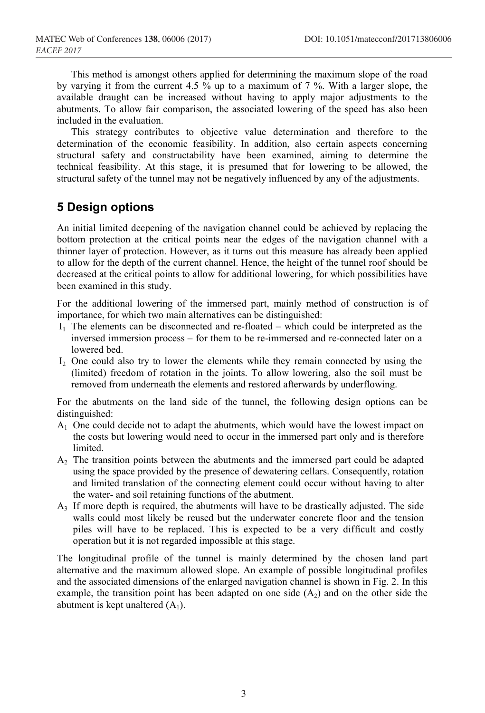This method is amongst others applied for determining the maximum slope of the road by varying it from the current 4.5 % up to a maximum of 7 %. With a larger slope, the available draught can be increased without having to apply major adjustments to the abutments. To allow fair comparison, the associated lowering of the speed has also been included in the evaluation.

This strategy contributes to objective value determination and therefore to the determination of the economic feasibility. In addition, also certain aspects concerning structural safety and constructability have been examined, aiming to determine the technical feasibility. At this stage, it is presumed that for lowering to be allowed, the structural safety of the tunnel may not be negatively influenced by any of the adjustments.

# **5 Design options**

An initial limited deepening of the navigation channel could be achieved by replacing the bottom protection at the critical points near the edges of the navigation channel with a thinner layer of protection. However, as it turns out this measure has already been applied to allow for the depth of the current channel. Hence, the height of the tunnel roof should be decreased at the critical points to allow for additional lowering, for which possibilities have been examined in this study.

For the additional lowering of the immersed part, mainly method of construction is of importance, for which two main alternatives can be distinguished:

- $I_1$  The elements can be disconnected and re-floated which could be interpreted as the inversed immersion process – for them to be re-immersed and re-connected later on a lowered bed.
- $I_2$  One could also try to lower the elements while they remain connected by using the (limited) freedom of rotation in the joints. To allow lowering, also the soil must be removed from underneath the elements and restored afterwards by underflowing.

For the abutments on the land side of the tunnel, the following design options can be distinguished:

- A1 One could decide not to adapt the abutments, which would have the lowest impact on the costs but lowering would need to occur in the immersed part only and is therefore limited.
- $A<sub>2</sub>$ . The transition points between the abutments and the immersed part could be adapted using the space provided by the presence of dewatering cellars. Consequently, rotation and limited translation of the connecting element could occur without having to alter the water- and soil retaining functions of the abutment.
- A3 If more depth is required, the abutments will have to be drastically adjusted. The side walls could most likely be reused but the underwater concrete floor and the tension piles will have to be replaced. This is expected to be a very difficult and costly operation but it is not regarded impossible at this stage.

The longitudinal profile of the tunnel is mainly determined by the chosen land part alternative and the maximum allowed slope. An example of possible longitudinal profiles and the associated dimensions of the enlarged navigation channel is shown in Fig. 2. In this example, the transition point has been adapted on one side  $(A<sub>2</sub>)$  and on the other side the abutment is kept unaltered  $(A_1)$ .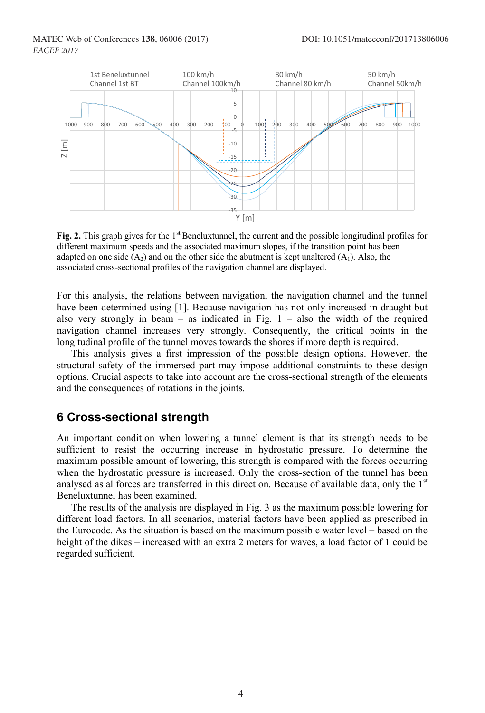

**Fig. 2.** This graph gives for the 1<sup>st</sup> Beneluxtunnel, the current and the possible longitudinal profiles for different maximum speeds and the associated maximum slopes, if the transition point has been adapted on one side  $(A_2)$  and on the other side the abutment is kept unaltered  $(A_1)$ . Also, the associated cross-sectional profiles of the navigation channel are displayed.

For this analysis, the relations between navigation, the navigation channel and the tunnel have been determined using [1]. Because navigation has not only increased in draught but also very strongly in beam  $-$  as indicated in Fig.  $1 -$  also the width of the required navigation channel increases very strongly. Consequently, the critical points in the longitudinal profile of the tunnel moves towards the shores if more depth is required.

This analysis gives a first impression of the possible design options. However, the structural safety of the immersed part may impose additional constraints to these design options. Crucial aspects to take into account are the cross-sectional strength of the elements and the consequences of rotations in the joints.

#### **6 Cross-sectional strength**

An important condition when lowering a tunnel element is that its strength needs to be sufficient to resist the occurring increase in hydrostatic pressure. To determine the maximum possible amount of lowering, this strength is compared with the forces occurring when the hydrostatic pressure is increased. Only the cross-section of the tunnel has been analysed as al forces are transferred in this direction. Because of available data, only the  $1<sup>st</sup>$ Beneluxtunnel has been examined.

The results of the analysis are displayed in Fig. 3 as the maximum possible lowering for different load factors. In all scenarios, material factors have been applied as prescribed in the Eurocode. As the situation is based on the maximum possible water level – based on the height of the dikes – increased with an extra 2 meters for waves, a load factor of 1 could be regarded sufficient.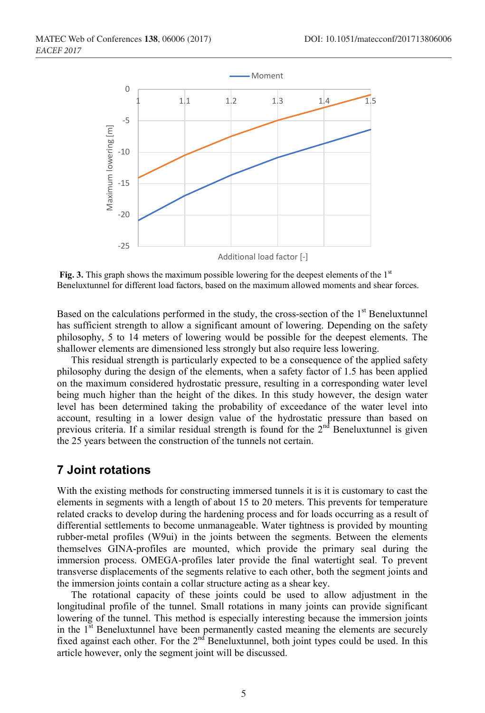

**Fig. 3.** This graph shows the maximum possible lowering for the deepest elements of the  $1<sup>st</sup>$ Beneluxtunnel for different load factors, based on the maximum allowed moments and shear forces.

Based on the calculations performed in the study, the cross-section of the 1<sup>st</sup> Beneluxtunnel has sufficient strength to allow a significant amount of lowering. Depending on the safety philosophy, 5 to 14 meters of lowering would be possible for the deepest elements. The shallower elements are dimensioned less strongly but also require less lowering.

This residual strength is particularly expected to be a consequence of the applied safety philosophy during the design of the elements, when a safety factor of 1.5 has been applied on the maximum considered hydrostatic pressure, resulting in a corresponding water level being much higher than the height of the dikes. In this study however, the design water level has been determined taking the probability of exceedance of the water level into account, resulting in a lower design value of the hydrostatic pressure than based on previous criteria. If a similar residual strength is found for the  $2<sup>nd</sup>$  Beneluxtunnel is given the 25 years between the construction of the tunnels not certain.

#### **7 Joint rotations**

With the existing methods for constructing immersed tunnels it is it is customary to cast the elements in segments with a length of about 15 to 20 meters. This prevents for temperature related cracks to develop during the hardening process and for loads occurring as a result of differential settlements to become unmanageable. Water tightness is provided by mounting rubber-metal profiles (W9ui) in the joints between the segments. Between the elements themselves GINA-profiles are mounted, which provide the primary seal during the immersion process. OMEGA-profiles later provide the final watertight seal. To prevent transverse displacements of the segments relative to each other, both the segment joints and the immersion joints contain a collar structure acting as a shear key.

The rotational capacity of these joints could be used to allow adjustment in the longitudinal profile of the tunnel. Small rotations in many joints can provide significant lowering of the tunnel. This method is especially interesting because the immersion joints in the  $1<sup>st</sup>$  Beneluxtunnel have been permanently casted meaning the elements are securely fixed against each other. For the  $2<sup>nd</sup>$  Beneluxtunnel, both joint types could be used. In this article however, only the segment joint will be discussed.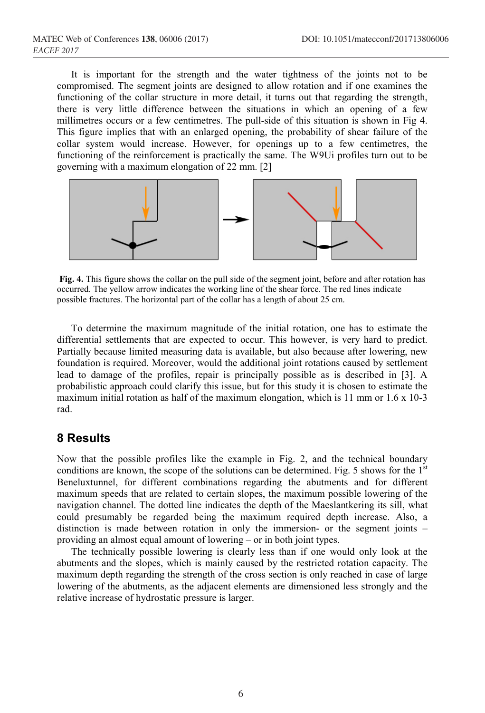It is important for the strength and the water tightness of the joints not to be compromised. The segment joints are designed to allow rotation and if one examines the functioning of the collar structure in more detail, it turns out that regarding the strength, there is very little difference between the situations in which an opening of a few millimetres occurs or a few centimetres. The pull-side of this situation is shown in Fig 4. This figure implies that with an enlarged opening, the probability of shear failure of the collar system would increase. However, for openings up to a few centimetres, the functioning of the reinforcement is practically the same. The W9Ui profiles turn out to be governing with a maximum elongation of 22 mm. [2]



**Fig. 4.** This figure shows the collar on the pull side of the segment joint, before and after rotation has occurred. The yellow arrow indicates the working line of the shear force. The red lines indicate possible fractures. The horizontal part of the collar has a length of about 25 cm.

To determine the maximum magnitude of the initial rotation, one has to estimate the differential settlements that are expected to occur. This however, is very hard to predict. Partially because limited measuring data is available, but also because after lowering, new foundation is required. Moreover, would the additional joint rotations caused by settlement lead to damage of the profiles, repair is principally possible as is described in [3]. A probabilistic approach could clarify this issue, but for this study it is chosen to estimate the maximum initial rotation as half of the maximum elongation, which is 11 mm or 1.6 x 10-3 rad.

#### **8 Results**

Now that the possible profiles like the example in Fig. 2, and the technical boundary conditions are known, the scope of the solutions can be determined. Fig. 5 shows for the  $1<sup>st</sup>$ Beneluxtunnel, for different combinations regarding the abutments and for different maximum speeds that are related to certain slopes, the maximum possible lowering of the navigation channel. The dotted line indicates the depth of the Maeslantkering its sill, what could presumably be regarded being the maximum required depth increase. Also, a distinction is made between rotation in only the immersion- or the segment joints – providing an almost equal amount of lowering – or in both joint types.

The technically possible lowering is clearly less than if one would only look at the abutments and the slopes, which is mainly caused by the restricted rotation capacity. The maximum depth regarding the strength of the cross section is only reached in case of large lowering of the abutments, as the adjacent elements are dimensioned less strongly and the relative increase of hydrostatic pressure is larger.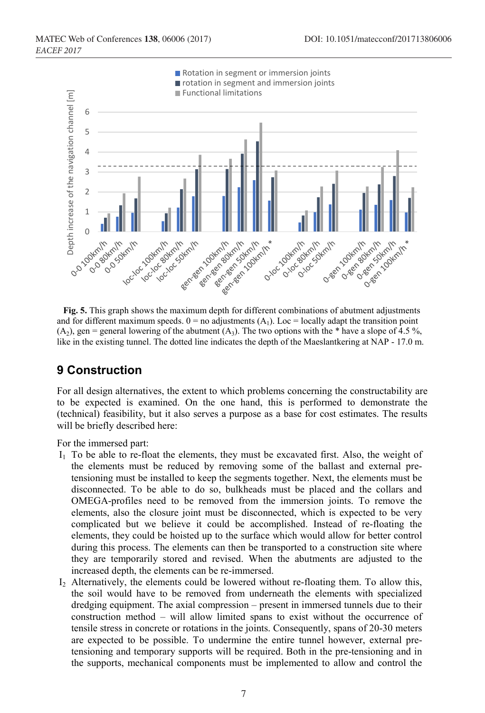

**Fig. 5.** This graph shows the maximum depth for different combinations of abutment adjustments and for different maximum speeds.  $0 =$  no adjustments  $(A_1)$ . Loc = locally adapt the transition point  $(A<sub>2</sub>)$ , gen = general lowering of the abutment  $(A<sub>3</sub>)$ . The two options with the \* have a slope of 4.5 %, like in the existing tunnel. The dotted line indicates the depth of the Maeslantkering at NAP - 17.0 m.

## **9 Construction**

For all design alternatives, the extent to which problems concerning the constructability are to be expected is examined. On the one hand, this is performed to demonstrate the (technical) feasibility, but it also serves a purpose as a base for cost estimates. The results will be briefly described here:

For the immersed part:

- $I_1$  To be able to re-float the elements, they must be excavated first. Also, the weight of the elements must be reduced by removing some of the ballast and external pretensioning must be installed to keep the segments together. Next, the elements must be disconnected. To be able to do so, bulkheads must be placed and the collars and OMEGA-profiles need to be removed from the immersion joints. To remove the elements, also the closure joint must be disconnected, which is expected to be very complicated but we believe it could be accomplished. Instead of re-floating the elements, they could be hoisted up to the surface which would allow for better control during this process. The elements can then be transported to a construction site where they are temporarily stored and revised. When the abutments are adjusted to the increased depth, the elements can be re-immersed.
- I2 Alternatively, the elements could be lowered without re-floating them. To allow this, the soil would have to be removed from underneath the elements with specialized dredging equipment. The axial compression – present in immersed tunnels due to their construction method – will allow limited spans to exist without the occurrence of tensile stress in concrete or rotations in the joints. Consequently, spans of 20-30 meters are expected to be possible. To undermine the entire tunnel however, external pretensioning and temporary supports will be required. Both in the pre-tensioning and in the supports, mechanical components must be implemented to allow and control the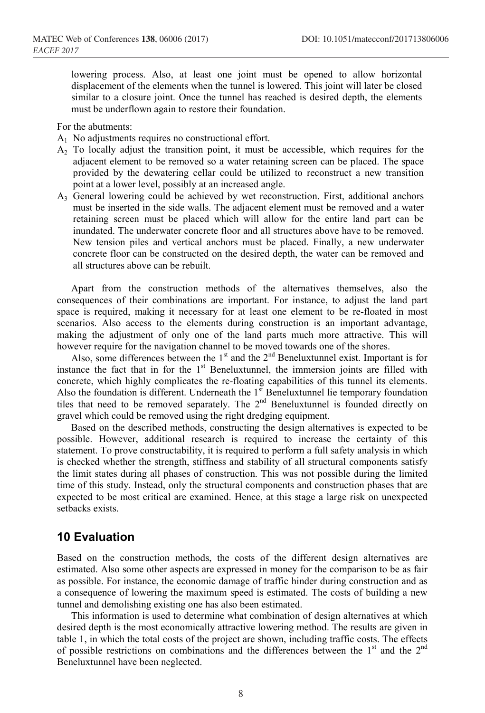lowering process. Also, at least one joint must be opened to allow horizontal displacement of the elements when the tunnel is lowered. This joint will later be closed similar to a closure joint. Once the tunnel has reached is desired depth, the elements must be underflown again to restore their foundation.

For the abutments:

A1 No adjustments requires no constructional effort.

- $A<sub>2</sub>$  To locally adjust the transition point, it must be accessible, which requires for the adjacent element to be removed so a water retaining screen can be placed. The space provided by the dewatering cellar could be utilized to reconstruct a new transition point at a lower level, possibly at an increased angle.
- A3 General lowering could be achieved by wet reconstruction. First, additional anchors must be inserted in the side walls. The adjacent element must be removed and a water retaining screen must be placed which will allow for the entire land part can be inundated. The underwater concrete floor and all structures above have to be removed. New tension piles and vertical anchors must be placed. Finally, a new underwater concrete floor can be constructed on the desired depth, the water can be removed and all structures above can be rebuilt.

Apart from the construction methods of the alternatives themselves, also the consequences of their combinations are important. For instance, to adjust the land part space is required, making it necessary for at least one element to be re-floated in most scenarios. Also access to the elements during construction is an important advantage, making the adjustment of only one of the land parts much more attractive. This will however require for the navigation channel to be moved towards one of the shores.

Also, some differences between the  $1<sup>st</sup>$  and the  $2<sup>nd</sup>$  Beneluxtunnel exist. Important is for instance the fact that in for the  $1<sup>st</sup>$  Beneluxtunnel, the immersion joints are filled with concrete, which highly complicates the re-floating capabilities of this tunnel its elements. Also the foundation is different. Underneath the  $1<sup>st</sup>$  Beneluxtunnel lie temporary foundation tiles that need to be removed separately. The 2<sup>nd</sup> Beneluxtunnel is founded directly on gravel which could be removed using the right dredging equipment.

Based on the described methods, constructing the design alternatives is expected to be possible. However, additional research is required to increase the certainty of this statement. To prove constructability, it is required to perform a full safety analysis in which is checked whether the strength, stiffness and stability of all structural components satisfy the limit states during all phases of construction. This was not possible during the limited time of this study. Instead, only the structural components and construction phases that are expected to be most critical are examined. Hence, at this stage a large risk on unexpected setbacks exists.

#### **10 Evaluation**

Based on the construction methods, the costs of the different design alternatives are estimated. Also some other aspects are expressed in money for the comparison to be as fair as possible. For instance, the economic damage of traffic hinder during construction and as a consequence of lowering the maximum speed is estimated. The costs of building a new tunnel and demolishing existing one has also been estimated.

This information is used to determine what combination of design alternatives at which desired depth is the most economically attractive lowering method. The results are given in table 1, in which the total costs of the project are shown, including traffic costs. The effects of possible restrictions on combinations and the differences between the  $1<sup>st</sup>$  and the  $2<sup>nd</sup>$ Beneluxtunnel have been neglected.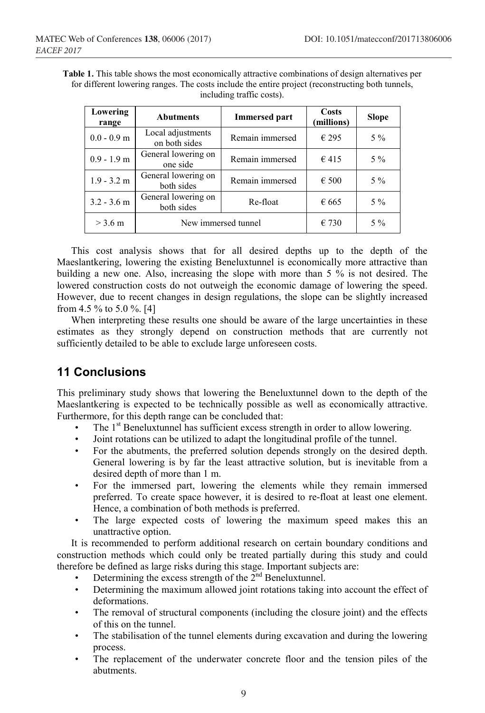| <b>Table 1.</b> This table shows the most economically attractive combinations of design alternatives per |
|-----------------------------------------------------------------------------------------------------------|
| for different lowering ranges. The costs include the entire project (reconstructing both tunnels,         |
| including traffic costs).                                                                                 |

| Lowering<br>range | <b>Abutments</b>                   | <b>Immersed part</b> | Costs<br>(millions) | <b>Slope</b> |
|-------------------|------------------------------------|----------------------|---------------------|--------------|
| $0.0 - 0.9$ m     | Local adjustments<br>on both sides | Remain immersed      | € 295               | $5\%$        |
| $0.9 - 1.9$ m     | General lowering on<br>one side    | Remain immersed      | €415                | $5\%$        |
| $1.9 - 3.2$ m     | General lowering on<br>both sides  | Remain immersed      | $\epsilon$ 500      | $5\%$        |
| $3.2 - 3.6$ m     | General lowering on<br>both sides  | Re-float             | € 665               | $5\%$        |
| $>$ 3.6 m         | New immersed tunnel                |                      | $\epsilon$ 730      | $5\%$        |

This cost analysis shows that for all desired depths up to the depth of the Maeslantkering, lowering the existing Beneluxtunnel is economically more attractive than building a new one. Also, increasing the slope with more than 5 % is not desired. The lowered construction costs do not outweigh the economic damage of lowering the speed. However, due to recent changes in design regulations, the slope can be slightly increased from 4.5 % to 5.0 %. [4]

When interpreting these results one should be aware of the large uncertainties in these estimates as they strongly depend on construction methods that are currently not sufficiently detailed to be able to exclude large unforeseen costs.

# **11 Conclusions**

This preliminary study shows that lowering the Beneluxtunnel down to the depth of the Maeslantkering is expected to be technically possible as well as economically attractive. Furthermore, for this depth range can be concluded that:

- The 1<sup>st</sup> Beneluxtunnel has sufficient excess strength in order to allow lowering.
- Joint rotations can be utilized to adapt the longitudinal profile of the tunnel.
- For the abutments, the preferred solution depends strongly on the desired depth. General lowering is by far the least attractive solution, but is inevitable from a desired depth of more than 1 m.
- For the immersed part, lowering the elements while they remain immersed preferred. To create space however, it is desired to re-float at least one element. Hence, a combination of both methods is preferred.
- The large expected costs of lowering the maximum speed makes this an unattractive option.

It is recommended to perform additional research on certain boundary conditions and construction methods which could only be treated partially during this study and could therefore be defined as large risks during this stage. Important subjects are:

- Determining the excess strength of the  $2<sup>nd</sup>$  Beneluxtunnel.
- Determining the maximum allowed joint rotations taking into account the effect of deformations.
- The removal of structural components (including the closure joint) and the effects of this on the tunnel.
- The stabilisation of the tunnel elements during excavation and during the lowering process.
- The replacement of the underwater concrete floor and the tension piles of the abutments.